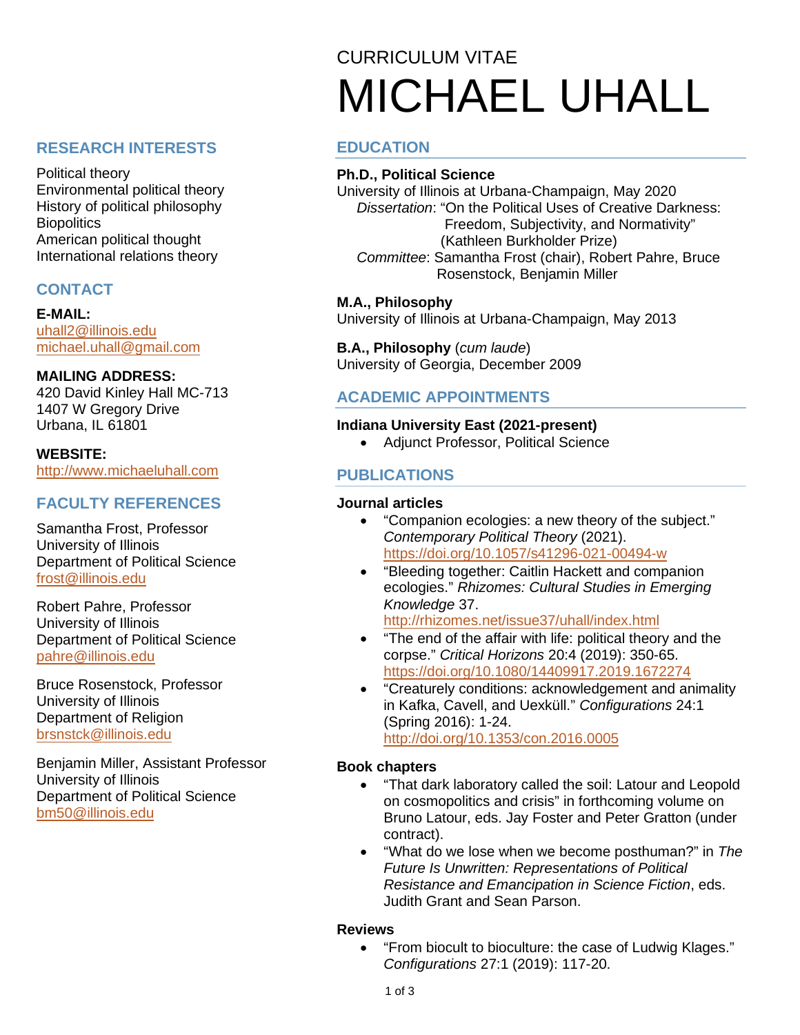## **RESEARCH INTERESTS**

Political theory Environmental political theory History of political philosophy **Biopolitics** American political thought International relations theory

## **CONTACT**

**E-MAIL:** [uhall2@illinois.edu](mailto:uhall2@illinois.edu) [michael.uhall@gmail.com](mailto:michael.uhall@gmail.com)

#### **MAILING ADDRESS:**

420 David Kinley Hall MC-713 1407 W Gregory Drive Urbana, IL 61801

## **WEBSITE:**

[http://www.michaeluhall.com](http://www.michaeluhall.com/)

## **FACULTY REFERENCES**

Samantha Frost, Professor University of Illinois Department of Political Science [frost@illinois.edu](mailto:frost@illinois.edu)

Robert Pahre, Professor University of Illinois Department of Political Science [pahre@illinois.edu](mailto:pahre@illinois.edu)

Bruce Rosenstock, Professor University of Illinois Department of Religion [brsnstck@illinois.edu](mailto:brsnstck@illinois.edu)

Benjamin Miller, Assistant Professor University of Illinois Department of Political Science [bm50@illinois.edu](mailto:bm50@illinois.edu)

# CURRICULUM VITAE MICHAEL UHALL

## **EDUCATION**

#### **Ph.D., Political Science**

University of Illinois at Urbana-Champaign, May 2020  *Dissertation*: "On the Political Uses of Creative Darkness: Freedom, Subjectivity, and Normativity" (Kathleen Burkholder Prize)  *Committee*: Samantha Frost (chair), Robert Pahre, Bruce Rosenstock, Benjamin Miller

#### **M.A., Philosophy**

University of Illinois at Urbana-Champaign, May 2013

**B.A., Philosophy** (*cum laude*) University of Georgia, December 2009

## **ACADEMIC APPOINTMENTS**

#### **Indiana University East (2021-present)**

• Adjunct Professor, Political Science

## **PUBLICATIONS**

#### **Journal articles**

- "Companion ecologies: a new theory of the subject." *Contemporary Political Theory* (2021). <https://doi.org/10.1057/s41296-021-00494-w>
- "Bleeding together: Caitlin Hackett and companion ecologies." *Rhizomes: Cultural Studies in Emerging Knowledge* 37.

<http://rhizomes.net/issue37/uhall/index.html>

- "The end of the affair with life: political theory and the corpse." *Critical Horizons* 20:4 (2019): 350-65. <https://doi.org/10.1080/14409917.2019.1672274>
- "Creaturely conditions: acknowledgement and animality in Kafka, Cavell, and Uexküll." *Configurations* 24:1 (Spring 2016): 1-24. <http://doi.org/10.1353/con.2016.0005>

#### **Book chapters**

- "That dark laboratory called the soil: Latour and Leopold on cosmopolitics and crisis" in forthcoming volume on Bruno Latour, eds. Jay Foster and Peter Gratton (under contract).
- "What do we lose when we become posthuman?" in *The Future Is Unwritten: Representations of Political Resistance and Emancipation in Science Fiction*, eds. Judith Grant and Sean Parson.

#### **Reviews**

• "From biocult to bioculture: the case of Ludwig Klages." *Configurations* 27:1 (2019): 117-20.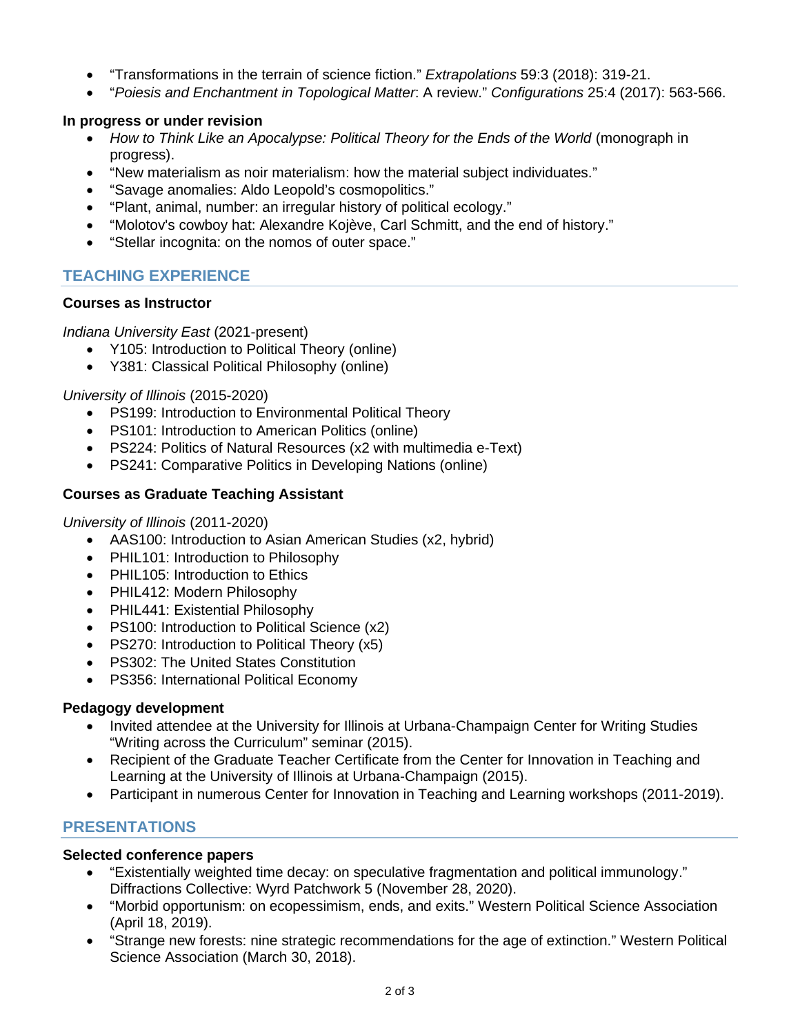- "Transformations in the terrain of science fiction." *Extrapolations* 59:3 (2018): 319-21.
- "*Poiesis and Enchantment in Topological Matter*: A review." *Configurations* 25:4 (2017): 563-566.

#### **In progress or under revision**

- How to Think Like an Apocalypse: Political Theory for the Ends of the World (monograph in progress).
- "New materialism as noir materialism: how the material subject individuates."
- "Savage anomalies: Aldo Leopold's cosmopolitics."
- "Plant, animal, number: an irregular history of political ecology."
- "Molotov's cowboy hat: Alexandre Kojève, Carl Schmitt, and the end of history."
- "Stellar incognita: on the nomos of outer space."

## **TEACHING EXPERIENCE**

#### **Courses as Instructor**

*Indiana University East* (2021-present)

- Y105: Introduction to Political Theory (online)
- Y381: Classical Political Philosophy (online)

#### *University of Illinois* (2015-2020)

- PS199: Introduction to Environmental Political Theory
- PS101: Introduction to American Politics (online)
- PS224: Politics of Natural Resources (x2 with multimedia e-Text)
- PS241: Comparative Politics in Developing Nations (online)

#### **Courses as Graduate Teaching Assistant**

#### *University of Illinois* (2011-2020)

- AAS100: Introduction to Asian American Studies (x2, hybrid)
- PHIL101: Introduction to Philosophy
- PHIL105: Introduction to Ethics
- PHIL412: Modern Philosophy
- PHIL441: Existential Philosophy
- PS100: Introduction to Political Science (x2)
- PS270: Introduction to Political Theory (x5)
- PS302: The United States Constitution
- PS356: International Political Economy

#### **Pedagogy development**

- Invited attendee at the University for Illinois at Urbana-Champaign Center for Writing Studies "Writing across the Curriculum" seminar (2015).
- Recipient of the Graduate Teacher Certificate from the Center for Innovation in Teaching and Learning at the University of Illinois at Urbana-Champaign (2015).
- Participant in numerous Center for Innovation in Teaching and Learning workshops (2011-2019).

## **PRESENTATIONS**

#### **Selected conference papers**

- "Existentially weighted time decay: on speculative fragmentation and political immunology." Diffractions Collective: Wyrd Patchwork 5 (November 28, 2020).
- "Morbid opportunism: on ecopessimism, ends, and exits." Western Political Science Association (April 18, 2019).
- "Strange new forests: nine strategic recommendations for the age of extinction." Western Political Science Association (March 30, 2018).